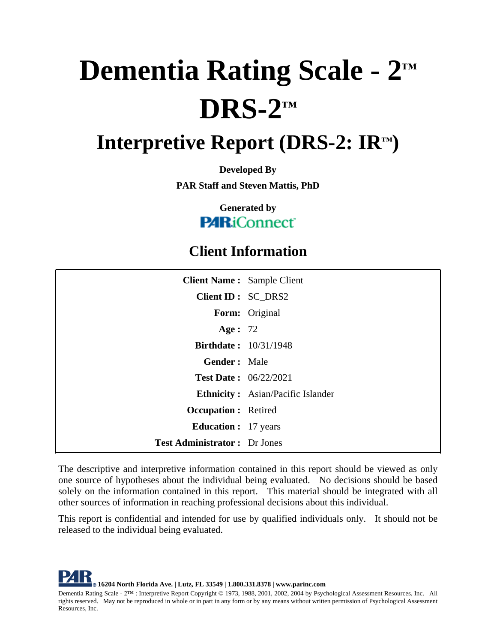# **Dementia Rating Scale - 2™ DRS-2™**

# **Interpretive Report (DRS-2: IR™)**

**Developed By PAR Staff and Steven Mattis, PhD**

> **Generated by PARiConnect**

# **Client Information**

| <b>Client Name: Sample Client</b>    |                                          |
|--------------------------------------|------------------------------------------|
| Client ID : SC_DRS2                  |                                          |
|                                      | Form: Original                           |
| Age : $72$                           |                                          |
| <b>Birthdate: 10/31/1948</b>         |                                          |
| <b>Gender:</b> Male                  |                                          |
| <b>Test Date: 06/22/2021</b>         |                                          |
|                                      | <b>Ethnicity:</b> Asian/Pacific Islander |
| <b>Occupation:</b> Retired           |                                          |
| <b>Education :</b> 17 years          |                                          |
| <b>Test Administrator :</b> Dr Jones |                                          |

The descriptive and interpretive information contained in this report should be viewed as only one source of hypotheses about the individual being evaluated. No decisions should be based solely on the information contained in this report. This material should be integrated with all other sources of information in reaching professional decisions about this individual.

This report is confidential and intended for use by qualified individuals only. It should not be released to the individual being evaluated.

**16204 North Florida Ave. |Lutz, FL 33549 | 1.800.331.8378 | www.parinc.com** Dementia Rating Scale - 2™ : Interpretive Report Copyright © 1973, 1988, 2001, 2002, 2004 by Psychological Assessment Resources, Inc. All rights reserved. May not be reproduced in whole or in part in any form or by any means without written permission of Psychological Assessment Resources, Inc.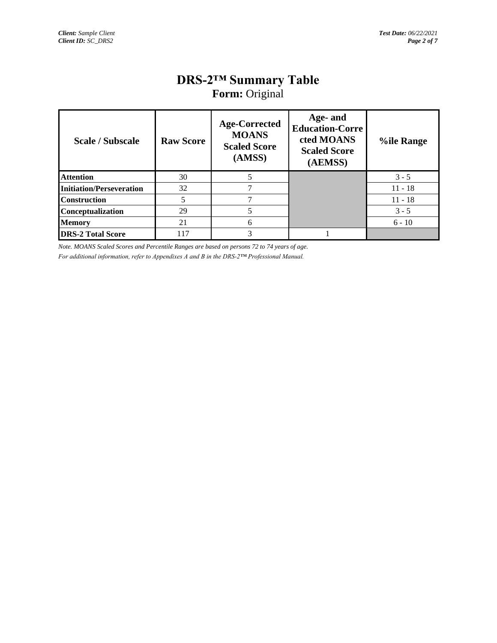# **DRS-2™ Summary Table**

| <b>Form:</b> Original |
|-----------------------|
|-----------------------|

| <b>Scale / Subscale</b>         | <b>Raw Score</b> | <b>Age-Corrected</b><br><b>MOANS</b><br><b>Scaled Score</b><br>(AMSS) | Age- and<br><b>Education-Corre</b><br>cted MOANS<br><b>Scaled Score</b><br>(AEMSS) | <b>%ile Range</b> |
|---------------------------------|------------------|-----------------------------------------------------------------------|------------------------------------------------------------------------------------|-------------------|
| <b>Attention</b>                | 30               |                                                                       |                                                                                    | $3 - 5$           |
| <b>Initiation/Perseveration</b> | 32               |                                                                       |                                                                                    | $11 - 18$         |
| <b>Construction</b>             |                  |                                                                       |                                                                                    | $11 - 18$         |
| <b>Conceptualization</b>        | 29               |                                                                       |                                                                                    | $3 - 5$           |
| <b>Memory</b>                   | 21               | 6                                                                     |                                                                                    | $6 - 10$          |
| <b>DRS-2 Total Score</b>        | 117              | 3                                                                     |                                                                                    |                   |

*Note. MOANS Scaled Scores and Percentile Ranges are based on persons 72 to 74 years of age. For additional information, refer to Appendixes A and B in the DRS-2™ Professional Manual.*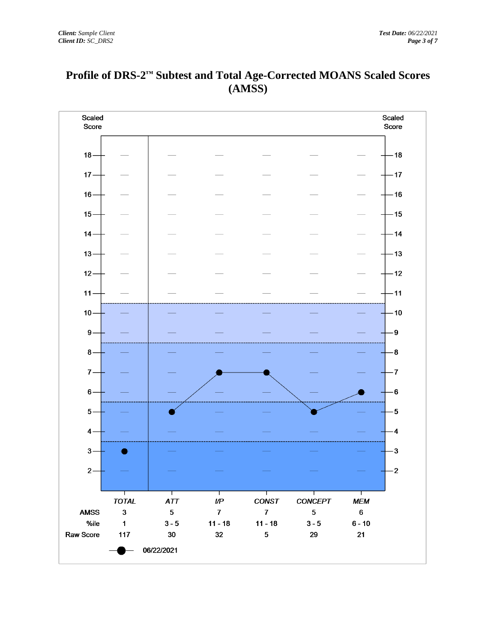

#### **Profile of DRS-2™ Subtest and Total Age-Corrected MOANS Scaled Scores (AMSS)**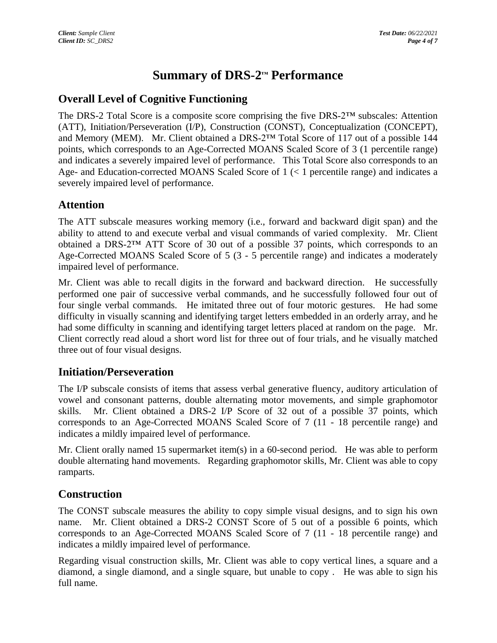## **Summary of DRS-2™ Performance**

#### **Overall Level of Cognitive Functioning**

The DRS-2 Total Score is a composite score comprising the five DRS-2™ subscales: Attention (ATT), Initiation/Perseveration (I/P), Construction (CONST), Conceptualization (CONCEPT), and Memory (MEM). Mr. Client obtained a DRS-2™ Total Score of 117 out of a possible 144 points, which corresponds to an Age-Corrected MOANS Scaled Score of 3 (1 percentile range) and indicates a severely impaired level of performance. This Total Score also corresponds to an Age- and Education-corrected MOANS Scaled Score of 1 (< 1 percentile range) and indicates a severely impaired level of performance.

#### **Attention**

The ATT subscale measures working memory (i.e., forward and backward digit span) and the ability to attend to and execute verbal and visual commands of varied complexity. Mr. Client obtained a DRS-2™ ATT Score of 30 out of a possible 37 points, which corresponds to an Age-Corrected MOANS Scaled Score of 5 (3 - 5 percentile range) and indicates a moderately impaired level of performance.

Mr. Client was able to recall digits in the forward and backward direction. He successfully performed one pair of successive verbal commands, and he successfully followed four out of four single verbal commands. He imitated three out of four motoric gestures. He had some difficulty in visually scanning and identifying target letters embedded in an orderly array, and he had some difficulty in scanning and identifying target letters placed at random on the page. Mr. Client correctly read aloud a short word list for three out of four trials, and he visually matched three out of four visual designs.

#### **Initiation/Perseveration**

The I/P subscale consists of items that assess verbal generative fluency, auditory articulation of vowel and consonant patterns, double alternating motor movements, and simple graphomotor skills. Mr. Client obtained a DRS-2 I/P Score of 32 out of a possible 37 points, which corresponds to an Age-Corrected MOANS Scaled Score of 7 (11 - 18 percentile range) and indicates a mildly impaired level of performance.

Mr. Client orally named 15 supermarket item(s) in a 60-second period. He was able to perform double alternating hand movements. Regarding graphomotor skills, Mr. Client was able to copy ramparts.

#### **Construction**

The CONST subscale measures the ability to copy simple visual designs, and to sign his own name. Mr. Client obtained a DRS-2 CONST Score of 5 out of a possible 6 points, which corresponds to an Age-Corrected MOANS Scaled Score of 7 (11 - 18 percentile range) and indicates a mildly impaired level of performance.

Regarding visual construction skills, Mr. Client was able to copy vertical lines, a square and a diamond, a single diamond, and a single square, but unable to copy . He was able to sign his full name.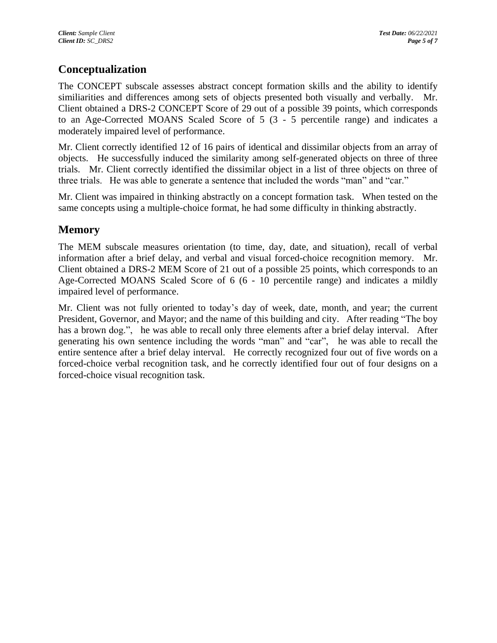#### **Conceptualization**

The CONCEPT subscale assesses abstract concept formation skills and the ability to identify similiarities and differences among sets of objects presented both visually and verbally. Mr. Client obtained a DRS-2 CONCEPT Score of 29 out of a possible 39 points, which corresponds to an Age-Corrected MOANS Scaled Score of 5 (3 - 5 percentile range) and indicates a moderately impaired level of performance.

Mr. Client correctly identified 12 of 16 pairs of identical and dissimilar objects from an array of objects. He successfully induced the similarity among self-generated objects on three of three trials. Mr. Client correctly identified the dissimilar object in a list of three objects on three of three trials. He was able to generate a sentence that included the words "man" and "car."

Mr. Client was impaired in thinking abstractly on a concept formation task. When tested on the same concepts using a multiple-choice format, he had some difficulty in thinking abstractly.

#### **Memory**

The MEM subscale measures orientation (to time, day, date, and situation), recall of verbal information after a brief delay, and verbal and visual forced-choice recognition memory. Mr. Client obtained a DRS-2 MEM Score of 21 out of a possible 25 points, which corresponds to an Age-Corrected MOANS Scaled Score of 6 (6 - 10 percentile range) and indicates a mildly impaired level of performance.

Mr. Client was not fully oriented to today's day of week, date, month, and year; the current President, Governor, and Mayor; and the name of this building and city. After reading "The boy has a brown dog.", he was able to recall only three elements after a brief delay interval. After generating his own sentence including the words "man" and "car", he was able to recall the entire sentence after a brief delay interval. He correctly recognized four out of five words on a forced-choice verbal recognition task, and he correctly identified four out of four designs on a forced-choice visual recognition task.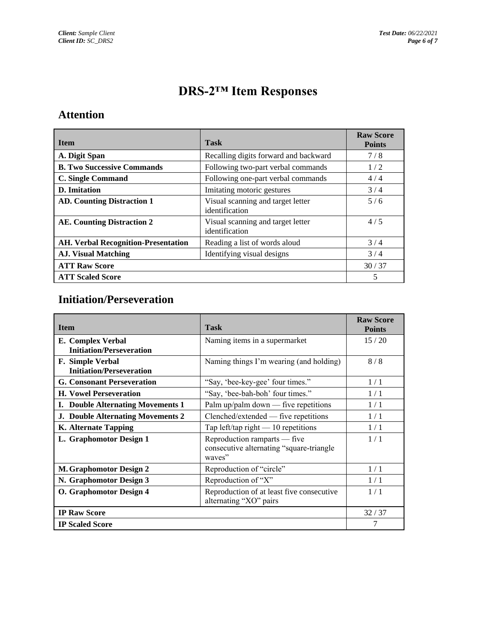# **DRS-2™ Item Responses**

#### **Attention**

| <b>Item</b>                                | <b>Task</b>                                         | <b>Raw Score</b><br><b>Points</b> |
|--------------------------------------------|-----------------------------------------------------|-----------------------------------|
| A. Digit Span                              | Recalling digits forward and backward               | 7/8                               |
| <b>B. Two Successive Commands</b>          | Following two-part verbal commands                  | 1/2                               |
| <b>C. Single Command</b>                   | Following one-part verbal commands                  | 4/4                               |
| D. Imitation                               | Imitating motoric gestures                          | 3/4                               |
| <b>AD. Counting Distraction 1</b>          | Visual scanning and target letter<br>identification | 5/6                               |
| AE. Counting Distraction 2                 | Visual scanning and target letter<br>identification | 4/5                               |
| <b>AH. Verbal Recognition-Presentation</b> | Reading a list of words aloud                       | 3/4                               |
| <b>AJ. Visual Matching</b>                 | Identifying visual designs                          | 3/4                               |
| <b>ATT Raw Score</b>                       |                                                     | 30/37                             |
| <b>ATT Scaled Score</b>                    |                                                     | 5                                 |

#### **Initiation/Perseveration**

| <b>Item</b>                                          | <b>Task</b>                                                                         | <b>Raw Score</b><br><b>Points</b> |
|------------------------------------------------------|-------------------------------------------------------------------------------------|-----------------------------------|
| E. Complex Verbal<br><b>Initiation/Perseveration</b> | Naming items in a supermarket                                                       | 15/20                             |
| F. Simple Verbal<br><b>Initiation/Perseveration</b>  | Naming things I'm wearing (and holding)                                             | 8/8                               |
| <b>G. Consonant Perseveration</b>                    | "Say, 'bee-key-gee' four times."                                                    | 1/1                               |
| <b>H. Vowel Perseveration</b>                        | "Say, 'bee-bah-boh' four times."                                                    | 1/1                               |
| <b>I.</b> Double Alternating Movements 1             | Palm up/palm down $-$ five repetitions                                              | 1/1                               |
| <b>J. Double Alternating Movements 2</b>             | Clenched/extended — five repetitions                                                | 1/1                               |
| <b>K.</b> Alternate Tapping                          | Tap left/tap right $-10$ repetitions                                                | 1/1                               |
| L. Graphomotor Design 1                              | Reproduction ramparts — five<br>consecutive alternating "square-triangle"<br>waves" | 1/1                               |
| M. Graphomotor Design 2                              | Reproduction of "circle"                                                            | 1/1                               |
| N. Graphomotor Design 3                              | Reproduction of "X"                                                                 | 1/1                               |
| O. Graphomotor Design 4                              | Reproduction of at least five consecutive<br>alternating "XO" pairs                 | 1/1                               |
| <b>IP Raw Score</b>                                  |                                                                                     | 32/37                             |
| <b>IP Scaled Score</b>                               |                                                                                     | 7                                 |